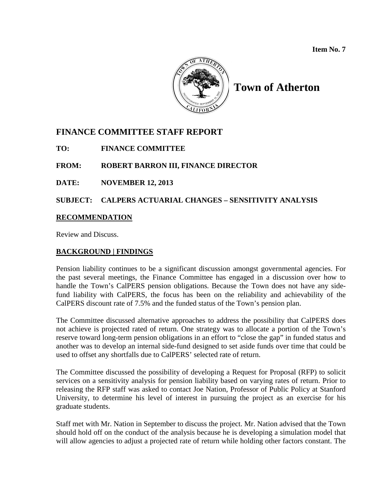

# **Town of Atherton**

# **FINANCE COMMITTEE STAFF REPORT**

**TO: FINANCE COMMITTEE**

## **FROM: ROBERT BARRON III, FINANCE DIRECTOR**

## **DATE: NOVEMBER 12, 2013**

## **SUBJECT: CALPERS ACTUARIAL CHANGES – SENSITIVITY ANALYSIS**

## **RECOMMENDATION**

Review and Discuss.

## **BACKGROUND | FINDINGS**

Pension liability continues to be a significant discussion amongst governmental agencies. For the past several meetings, the Finance Committee has engaged in a discussion over how to handle the Town's CalPERS pension obligations. Because the Town does not have any sidefund liability with CalPERS, the focus has been on the reliability and achievability of the CalPERS discount rate of 7.5% and the funded status of the Town's pension plan.

The Committee discussed alternative approaches to address the possibility that CalPERS does not achieve is projected rated of return. One strategy was to allocate a portion of the Town's reserve toward long-term pension obligations in an effort to "close the gap" in funded status and another was to develop an internal side-fund designed to set aside funds over time that could be used to offset any shortfalls due to CalPERS' selected rate of return.

The Committee discussed the possibility of developing a Request for Proposal (RFP) to solicit services on a sensitivity analysis for pension liability based on varying rates of return. Prior to releasing the RFP staff was asked to contact Joe Nation, Professor of Public Policy at Stanford University, to determine his level of interest in pursuing the project as an exercise for his graduate students.

Staff met with Mr. Nation in September to discuss the project. Mr. Nation advised that the Town should hold off on the conduct of the analysis because he is developing a simulation model that will allow agencies to adjust a projected rate of return while holding other factors constant. The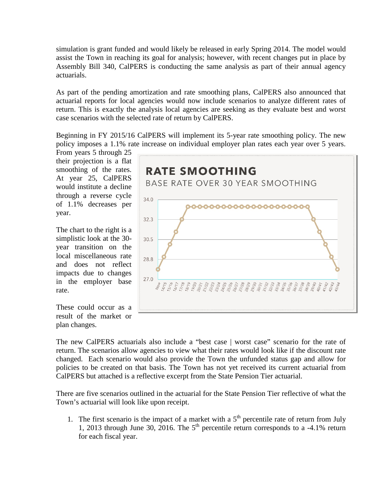simulation is grant funded and would likely be released in early Spring 2014. The model would assist the Town in reaching its goal for analysis; however, with recent changes put in place by Assembly Bill 340, CalPERS is conducting the same analysis as part of their annual agency actuarials.

As part of the pending amortization and rate smoothing plans, CalPERS also announced that actuarial reports for local agencies would now include scenarios to analyze different rates of return. This is exactly the analysis local agencies are seeking as they evaluate best and worst case scenarios with the selected rate of return by CalPERS.

Beginning in FY 2015/16 CalPERS will implement its 5-year rate smoothing policy. The new policy imposes a 1.1% rate increase on individual employer plan rates each year over 5 years.

From years 5 through 25 their projection is a flat smoothing of the rates. At year 25, CalPERS would institute a decline through a reverse cycle of 1.1% decreases per year.

The chart to the right is a simplistic look at the 30 year transition on the local miscellaneous rate and does not reflect impacts due to changes in the employer base rate.

These could occur as a result of the market or plan changes.



The new CalPERS actuarials also include a "best case | worst case" scenario for the rate of return. The scenarios allow agencies to view what their rates would look like if the discount rate changed. Each scenario would also provide the Town the unfunded status gap and allow for policies to be created on that basis. The Town has not yet received its current actuarial from CalPERS but attached is a reflective excerpt from the State Pension Tier actuarial.

There are five scenarios outlined in the actuarial for the State Pension Tier reflective of what the Town's actuarial will look like upon receipt.

1. The first scenario is the impact of a market with a  $5<sup>th</sup>$  percentile rate of return from July 1, 2013 through June 30, 2016. The  $5<sup>th</sup>$  percentile return corresponds to a -4.1% return for each fiscal year.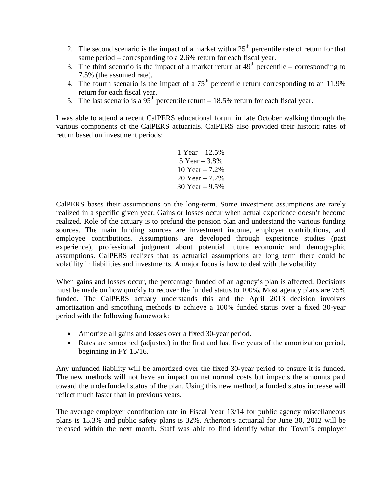- 2. The second scenario is the impact of a market with a  $25<sup>th</sup>$  percentile rate of return for that same period – corresponding to a 2.6% return for each fiscal year.
- 3. The third scenario is the impact of a market return at  $49<sup>th</sup>$  percentile corresponding to 7.5% (the assumed rate).
- 4. The fourth scenario is the impact of a  $75<sup>th</sup>$  percentile return corresponding to an 11.9% return for each fiscal year.
- 5. The last scenario is a  $95<sup>th</sup>$  percentile return 18.5% return for each fiscal year.

I was able to attend a recent CalPERS educational forum in late October walking through the various components of the CalPERS actuarials. CalPERS also provided their historic rates of return based on investment periods:

> 1 Year – 12.5% 5 Year – 3.8% 10 Year – 7.2% 20 Year – 7.7% 30 Year – 9.5%

CalPERS bases their assumptions on the long-term. Some investment assumptions are rarely realized in a specific given year. Gains or losses occur when actual experience doesn't become realized. Role of the actuary is to prefund the pension plan and understand the various funding sources. The main funding sources are investment income, employer contributions, and employee contributions. Assumptions are developed through experience studies (past experience), professional judgment about potential future economic and demographic assumptions. CalPERS realizes that as actuarial assumptions are long term there could be volatility in liabilities and investments. A major focus is how to deal with the volatility.

When gains and losses occur, the percentage funded of an agency's plan is affected. Decisions must be made on how quickly to recover the funded status to 100%. Most agency plans are 75% funded. The CalPERS actuary understands this and the April 2013 decision involves amortization and smoothing methods to achieve a 100% funded status over a fixed 30-year period with the following framework:

- Amortize all gains and losses over a fixed 30-year period.
- Rates are smoothed (adjusted) in the first and last five years of the amortization period, beginning in FY 15/16.

Any unfunded liability will be amortized over the fixed 30-year period to ensure it is funded. The new methods will not have an impact on net normal costs but impacts the amounts paid toward the underfunded status of the plan. Using this new method, a funded status increase will reflect much faster than in previous years.

The average employer contribution rate in Fiscal Year 13/14 for public agency miscellaneous plans is 15.3% and public safety plans is 32%. Atherton's actuarial for June 30, 2012 will be released within the next month. Staff was able to find identify what the Town's employer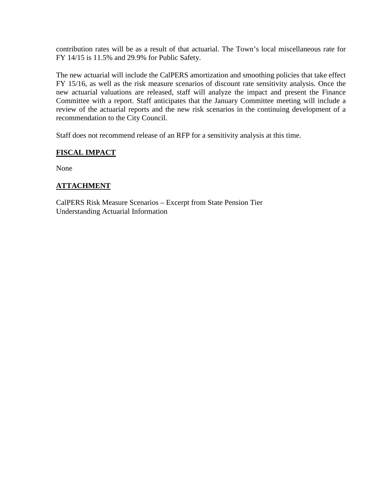contribution rates will be as a result of that actuarial. The Town's local miscellaneous rate for FY 14/15 is 11.5% and 29.9% for Public Safety.

The new actuarial will include the CalPERS amortization and smoothing policies that take effect FY 15/16, as well as the risk measure scenarios of discount rate sensitivity analysis. Once the new actuarial valuations are released, staff will analyze the impact and present the Finance Committee with a report. Staff anticipates that the January Committee meeting will include a review of the actuarial reports and the new risk scenarios in the continuing development of a recommendation to the City Council.

Staff does not recommend release of an RFP for a sensitivity analysis at this time.

## **FISCAL IMPACT**

None

## **ATTACHMENT**

CalPERS Risk Measure Scenarios – Excerpt from State Pension Tier Understanding Actuarial Information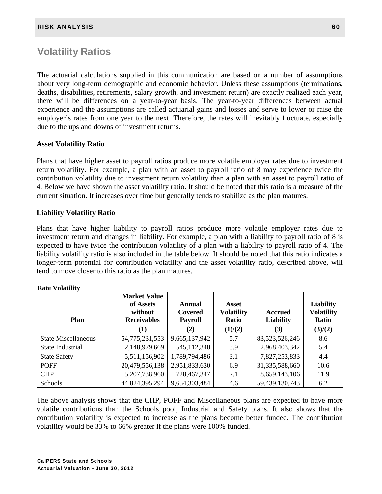# Volatility Ratios

The actuarial calculations supplied in this communication are based on a number of assumptions about very long-term demographic and economic behavior. Unless these assumptions (terminations, deaths, disabilities, retirements, salary growth, and investment return) are exactly realized each year, there will be differences on a year-to-year basis. The year-to-year differences between actual experience and the assumptions are called actuarial gains and losses and serve to lower or raise the employer's rates from one year to the next. Therefore, the rates will inevitably fluctuate, especially due to the ups and downs of investment returns.

## **Asset Volatility Ratio**

Plans that have higher asset to payroll ratios produce more volatile employer rates due to investment return volatility. For example, a plan with an asset to payroll ratio of 8 may experience twice the contribution volatility due to investment return volatility than a plan with an asset to payroll ratio of 4. Below we have shown the asset volatility ratio. It should be noted that this ratio is a measure of the current situation. It increases over time but generally tends to stabilize as the plan matures.

## **Liability Volatility Ratio**

Plans that have higher liability to payroll ratios produce more volatile employer rates due to investment return and changes in liability. For example, a plan with a liability to payroll ratio of 8 is expected to have twice the contribution volatility of a plan with a liability to payroll ratio of 4. The liability volatility ratio is also included in the table below. It should be noted that this ratio indicates a longer-term potential for contribution volatility and the asset volatility ratio, described above, will tend to move closer to this ratio as the plan matures.

| <b>Plan</b>                | <b>Market Value</b><br>of Assets<br>without<br><b>Receivables</b> | Annual<br>Covered<br><b>Payroll</b> | Asset<br><b>Volatility</b><br>Ratio | <b>Accrued</b><br><b>Liability</b> | <b>Liability</b><br><b>Volatility</b><br>Ratio |
|----------------------------|-------------------------------------------------------------------|-------------------------------------|-------------------------------------|------------------------------------|------------------------------------------------|
|                            | (1)                                                               | (2)                                 | (1)/(2)                             | (3)                                | (3)/(2)                                        |
| <b>State Miscellaneous</b> | 54,775,231,553                                                    | 9,665,137,942                       | 5.7                                 | 83,523,526,246                     | 8.6                                            |
| State Industrial           | 2,148,979,669                                                     | 545, 112, 340                       | 3.9                                 | 2,968,403,342                      | 5.4                                            |
| <b>State Safety</b>        | 5,511,156,902                                                     | 1,789,794,486                       | 3.1                                 | 7,827,253,833                      | 4.4                                            |
| <b>POFF</b>                | 20,479,556,138                                                    | 2,951,833,630                       | 6.9                                 | 31,335,588,660                     | 10.6                                           |
| <b>CHP</b>                 | 5,207,738,960                                                     | 728,467,347                         | 7.1                                 | 8,659,143,106                      | 11.9                                           |
| Schools                    | 44,824,395,294                                                    | 9,654,303,484                       | 4.6                                 | 59,439,130,743                     | 6.2                                            |

| <b>Rate Volatility</b> |
|------------------------|
|                        |

The above analysis shows that the CHP, POFF and Miscellaneous plans are expected to have more volatile contributions than the Schools pool, Industrial and Safety plans. It also shows that the contribution volatility is expected to increase as the plans become better funded. The contribution volatility would be 33% to 66% greater if the plans were 100% funded.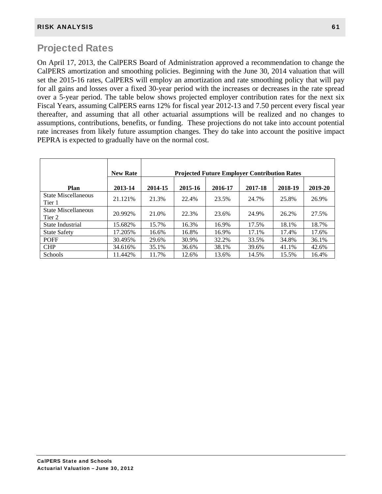# Projected Rates

On April 17, 2013, the CalPERS Board of Administration approved a recommendation to change the CalPERS amortization and smoothing policies. Beginning with the June 30, 2014 valuation that will set the 2015-16 rates, CalPERS will employ an amortization and rate smoothing policy that will pay for all gains and losses over a fixed 30-year period with the increases or decreases in the rate spread over a 5-year period. The table below shows projected employer contribution rates for the next six Fiscal Years, assuming CalPERS earns 12% for fiscal year 2012-13 and 7.50 percent every fiscal year thereafter, and assuming that all other actuarial assumptions will be realized and no changes to assumptions, contributions, benefits, or funding. These projections do not take into account potential rate increases from likely future assumption changes. They do take into account the positive impact PEPRA is expected to gradually have on the normal cost.

|                               | <b>New Rate</b> | <b>Projected Future Employer Contribution Rates</b>            |       |       |       |       |       |  |
|-------------------------------|-----------------|----------------------------------------------------------------|-------|-------|-------|-------|-------|--|
| Plan                          | 2013-14         | 2019-20<br>2015-16<br>2016-17<br>2017-18<br>2018-19<br>2014-15 |       |       |       |       |       |  |
| State Miscellaneous<br>Tier 1 | 21.121%         | 21.3%                                                          | 22.4% | 23.5% | 24.7% | 25.8% | 26.9% |  |
| State Miscellaneous<br>Tier 2 | 20.992%         | 21.0%                                                          | 22.3% | 23.6% | 24.9% | 26.2% | 27.5% |  |
| State Industrial              | 15.682%         | 15.7%                                                          | 16.3% | 16.9% | 17.5% | 18.1% | 18.7% |  |
| <b>State Safety</b>           | 17.205%         | 16.6%                                                          | 16.8% | 16.9% | 17.1% | 17.4% | 17.6% |  |
| <b>POFF</b>                   | 30.495%         | 29.6%                                                          | 30.9% | 32.2% | 33.5% | 34.8% | 36.1% |  |
| <b>CHP</b>                    | 34.616%         | 35.1%                                                          | 36.6% | 38.1% | 39.6% | 41.1% | 42.6% |  |
| <b>Schools</b>                | 11.442%         | 11.7%                                                          | 12.6% | 13.6% | 14.5% | 15.5% | 16.4% |  |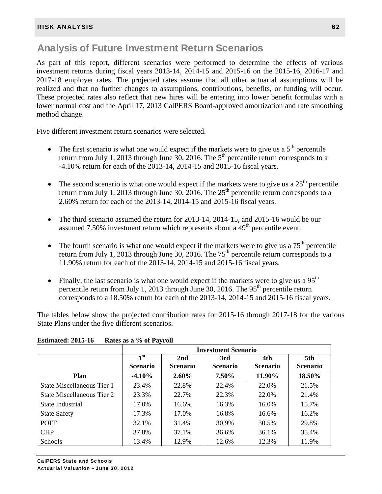# Analysis of Future Investment Return Scenarios

As part of this report, different scenarios were performed to determine the effects of various investment returns during fiscal years 2013-14, 2014-15 and 2015-16 on the 2015-16, 2016-17 and 2017-18 employer rates. The projected rates assume that all other actuarial assumptions will be realized and that no further changes to assumptions, contributions, benefits, or funding will occur. These projected rates also reflect that new hires will be entering into lower benefit formulas with a lower normal cost and the April 17, 2013 CalPERS Board-approved amortization and rate smoothing method change.

Five different investment return scenarios were selected.

- The first scenario is what one would expect if the markets were to give us a  $5<sup>th</sup>$  percentile return from July 1, 2013 through June 30, 2016. The  $5<sup>th</sup>$  percentile return corresponds to a -4.10% return for each of the 2013-14, 2014-15 and 2015-16 fiscal years.
- The second scenario is what one would expect if the markets were to give us a  $25<sup>th</sup>$  percentile return from July 1, 2013 through June 30, 2016. The  $25<sup>th</sup>$  percentile return corresponds to a 2.60% return for each of the 2013-14, 2014-15 and 2015-16 fiscal years.
- The third scenario assumed the return for 2013-14, 2014-15, and 2015-16 would be our assumed 7.50% investment return which represents about a  $49<sup>th</sup>$  percentile event.
- The fourth scenario is what one would expect if the markets were to give us a  $75<sup>th</sup>$  percentile return from July 1, 2013 through June 30, 2016. The  $75<sup>th</sup>$  percentile return corresponds to a 11.90% return for each of the 2013-14, 2014-15 and 2015-16 fiscal years.
- Finally, the last scenario is what one would expect if the markets were to give us a  $95<sup>th</sup>$ percentile return from July 1, 2013 through June 30, 2016. The  $95<sup>th</sup>$  percentile return corresponds to a 18.50% return for each of the 2013-14, 2014-15 and 2015-16 fiscal years.

The tables below show the projected contribution rates for 2015-16 through 2017-18 for the various State Plans under the five different scenarios.

|                            | <b>Investment Scenario</b> |                 |                 |                 |                 |  |
|----------------------------|----------------------------|-----------------|-----------------|-----------------|-----------------|--|
|                            | 1 <sup>st</sup>            | 2nd             | 3rd             | 4th             | 5th             |  |
|                            | <b>Scenario</b>            | <b>Scenario</b> | <b>Scenario</b> | <b>Scenario</b> | <b>Scenario</b> |  |
| <b>Plan</b>                | $-4.10\%$                  | $2.60\%$        | 7.50%           | 11.90%          | 18.50%          |  |
| State Miscellaneous Tier 1 | 23.4%                      | 22.8%           | 22.4%           | 22.0%           | 21.5%           |  |
| State Miscellaneous Tier 2 | 23.3%                      | 22.7%           | 22.3%           | 22.0%           | 21.4%           |  |
| State Industrial           | 17.0%                      | 16.6%           | 16.3%           | 16.0%           | 15.7%           |  |
| <b>State Safety</b>        | 17.3%                      | 17.0%           | 16.8%           | 16.6%           | 16.2%           |  |
| <b>POFF</b>                | 32.1%                      | 31.4%           | 30.9%           | 30.5%           | 29.8%           |  |
| <b>CHP</b>                 | 37.8%                      | 37.1%           | 36.6%           | 36.1%           | 35.4%           |  |
| Schools                    | 13.4%                      | 12.9%           | 12.6%           | 12.3%           | 11.9%           |  |

**Estimated: 2015-16 Rates as a % of Payroll**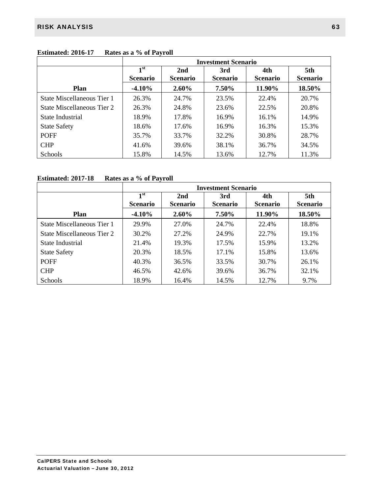|                            | <b>Investment Scenario</b>                                                             |          |                        |                        |        |  |
|----------------------------|----------------------------------------------------------------------------------------|----------|------------------------|------------------------|--------|--|
|                            | 1 <sup>st</sup><br>2nd<br>3rd<br><b>Scenario</b><br><b>Scenario</b><br><b>Scenario</b> |          | 4th<br><b>Scenario</b> | 5th<br><b>Scenario</b> |        |  |
| <b>Plan</b>                | $-4.10%$                                                                               | $2.60\%$ | 7.50%                  | 11.90%                 | 18.50% |  |
| State Miscellaneous Tier 1 | 26.3%                                                                                  | 24.7%    | 23.5%                  | 22.4%                  | 20.7%  |  |
| State Miscellaneous Tier 2 | 26.3%                                                                                  | 24.8%    | 23.6%                  | 22.5%                  | 20.8%  |  |
| State Industrial           | 18.9%                                                                                  | 17.8%    | 16.9%                  | 16.1%                  | 14.9%  |  |
| <b>State Safety</b>        | 18.6%                                                                                  | 17.6%    | 16.9%                  | 16.3%                  | 15.3%  |  |
| <b>POFF</b>                | 35.7%                                                                                  | 33.7%    | 32.2%                  | 30.8%                  | 28.7%  |  |
| <b>CHP</b>                 | 41.6%                                                                                  | 39.6%    | 38.1%                  | 36.7%                  | 34.5%  |  |
| <b>Schools</b>             | 15.8%                                                                                  | 14.5%    | 13.6%                  | 12.7%                  | 11.3%  |  |

# **Estimated: 2016-17 Rates as a % of Payroll**

## **Estimated: 2017-18 Rates as a % of Payroll**

|                            | <b>Investment Scenario</b>         |                        |                        |                        |                        |  |
|----------------------------|------------------------------------|------------------------|------------------------|------------------------|------------------------|--|
|                            | 1 <sup>st</sup><br><b>Scenario</b> | 2nd<br><b>Scenario</b> | 3rd<br><b>Scenario</b> | 4th<br><b>Scenario</b> | 5th<br><b>Scenario</b> |  |
| Plan                       | $-4.10\%$                          | $2.60\%$               | 7.50%                  | 11.90%                 | 18.50%                 |  |
| State Miscellaneous Tier 1 | 29.9%                              | 27.0%                  | 24.7%                  | 22.4%                  | 18.8%                  |  |
| State Miscellaneous Tier 2 | 30.2%                              | 27.2%                  | 24.9%                  | 22.7%                  | 19.1%                  |  |
| State Industrial           | 21.4%                              | 19.3%                  | 17.5%                  | 15.9%                  | 13.2%                  |  |
| <b>State Safety</b>        | 20.3%                              | 18.5%                  | 17.1%                  | 15.8%                  | 13.6%                  |  |
| <b>POFF</b>                | 40.3%                              | 36.5%                  | 33.5%                  | 30.7%                  | 26.1%                  |  |
| <b>CHP</b>                 | 46.5%                              | 42.6%                  | 39.6%                  | 36.7%                  | 32.1%                  |  |
| <b>Schools</b>             | 18.9%                              | 16.4%                  | 14.5%                  | 12.7%                  | 9.7%                   |  |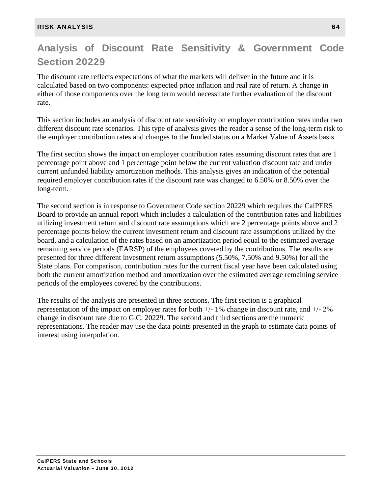# Analysis of Discount Rate Sensitivity & Government Code Section 20229

The discount rate reflects expectations of what the markets will deliver in the future and it is calculated based on two components: expected price inflation and real rate of return. A change in either of those components over the long term would necessitate further evaluation of the discount rate.

This section includes an analysis of discount rate sensitivity on employer contribution rates under two different discount rate scenarios. This type of analysis gives the reader a sense of the long-term risk to the employer contribution rates and changes to the funded status on a Market Value of Assets basis.

The first section shows the impact on employer contribution rates assuming discount rates that are 1 percentage point above and 1 percentage point below the current valuation discount rate and under current unfunded liability amortization methods. This analysis gives an indication of the potential required employer contribution rates if the discount rate was changed to 6.50% or 8.50% over the long-term.

The second section is in response to Government Code section 20229 which requires the CalPERS Board to provide an annual report which includes a calculation of the contribution rates and liabilities utilizing investment return and discount rate assumptions which are 2 percentage points above and 2 percentage points below the current investment return and discount rate assumptions utilized by the board, and a calculation of the rates based on an amortization period equal to the estimated average remaining service periods (EARSP) of the employees covered by the contributions. The results are presented for three different investment return assumptions (5.50%, 7.50% and 9.50%) for all the State plans. For comparison, contribution rates for the current fiscal year have been calculated using both the current amortization method and amortization over the estimated average remaining service periods of the employees covered by the contributions.

The results of the analysis are presented in three sections. The first section is a graphical representation of the impact on employer rates for both  $+/-1\%$  change in discount rate, and  $+/-2\%$ change in discount rate due to G.C. 20229. The second and third sections are the numeric representations. The reader may use the data points presented in the graph to estimate data points of interest using interpolation.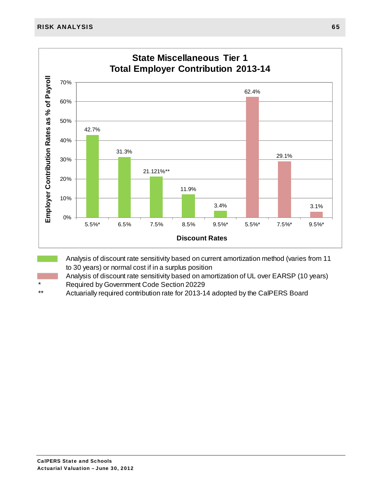

Analysis of discount rate sensitivity based on amortization of UL over EARSP (10 years)

- \* Required by Government Code Section 20229<br>\*\* Actuarially required contribution rate for 2013 1
- Actuarially required contribution rate for 2013-14 adopted by the CalPERS Board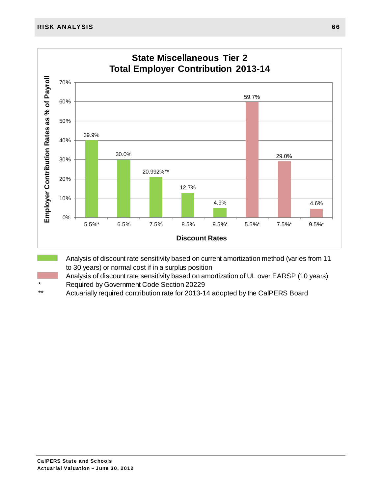

Analysis of discount rate sensitivity based on amortization of UL over EARSP (10 years)

- \* Required by Government Code Section 20229
- Actuarially required contribution rate for 2013-14 adopted by the CalPERS Board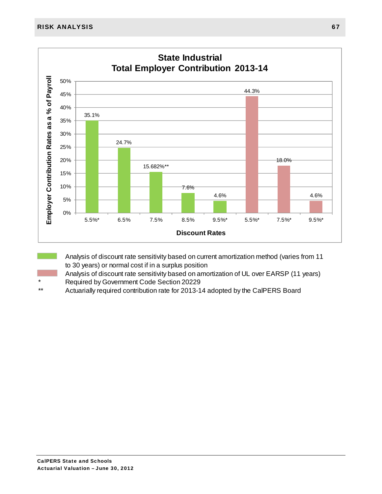

Analysis of discount rate sensitivity based on amortization of UL over EARSP (11 years)

- \* Required by Government Code Section 20229
- Actuarially required contribution rate for 2013-14 adopted by the CalPERS Board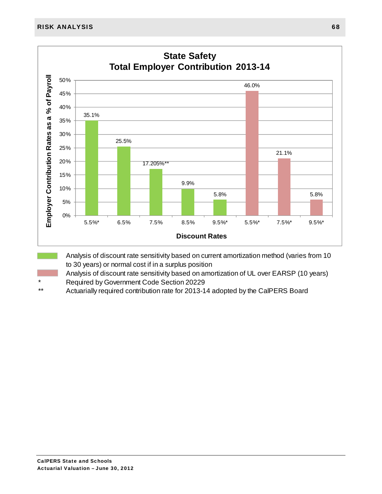

Analysis of discount rate sensitivity based on amortization of UL over EARSP (10 years) \* Required by Government Code Section 20229

Actuarially required contribution rate for 2013-14 adopted by the CalPERS Board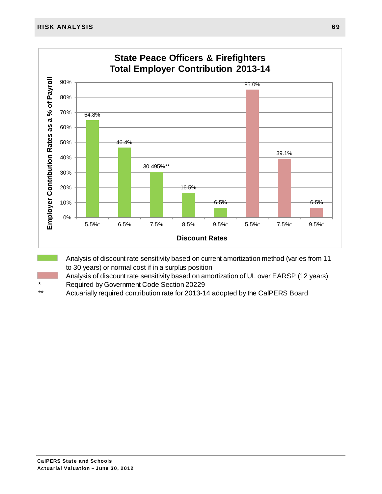

Analysis of discount rate sensitivity based on amortization of UL over EARSP (12 years)

- \* Required by Government Code Section 20229
- Actuarially required contribution rate for 2013-14 adopted by the CalPERS Board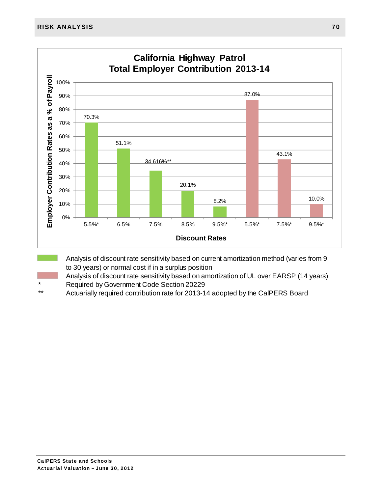

Analysis of discount rate sensitivity based on amortization of UL over EARSP (14 years)

- \* Required by Government Code Section 20229<br>\*\* Actuarially required contribution rate for 2013 1
- Actuarially required contribution rate for 2013-14 adopted by the CalPERS Board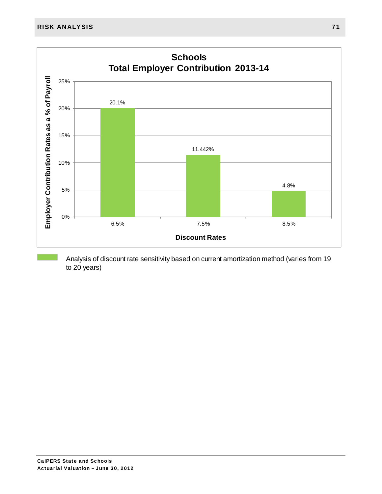

Analysis of discount rate sensitivity based on current amortization method (varies from 19 to 20 years)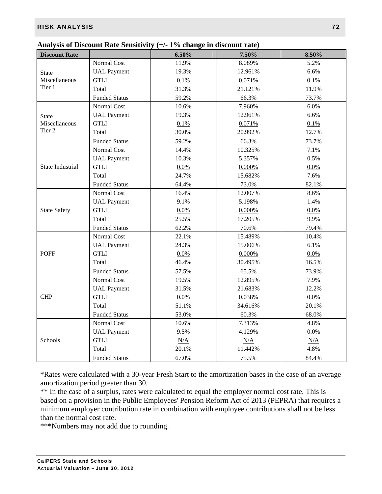## RISK ANALYSIS 72

|                      |                      | Analysis of Discount Kate Schsittvity (17 $\pm$ 70 change in discount Faic) |           |       |
|----------------------|----------------------|-----------------------------------------------------------------------------|-----------|-------|
| <b>Discount Rate</b> |                      | 6.50%                                                                       | 7.50%     | 8.50% |
|                      | Normal Cost          | 11.9%                                                                       | 8.089%    | 5.2%  |
| <b>State</b>         | <b>UAL</b> Payment   | 19.3%                                                                       | 12.961%   | 6.6%  |
| Miscellaneous        | <b>GTLI</b>          | 0.1%                                                                        | 0.071%    | 0.1%  |
| Tier 1               | Total                | 31.3%                                                                       | 21.121%   | 11.9% |
|                      | <b>Funded Status</b> | 59.2%                                                                       | 66.3%     | 73.7% |
|                      | Normal Cost          | 10.6%                                                                       | 7.960%    | 6.0%  |
| <b>State</b>         | <b>UAL Payment</b>   | 19.3%                                                                       | 12.961%   | 6.6%  |
| Miscellaneous        | <b>GTLI</b>          | 0.1%                                                                        | 0.071%    | 0.1%  |
| Tier <sub>2</sub>    | Total                | 30.0%                                                                       | 20.992%   | 12.7% |
|                      | <b>Funded Status</b> | 59.2%                                                                       | 66.3%     | 73.7% |
|                      | Normal Cost          | 14.4%                                                                       | 10.325%   | 7.1%  |
|                      | <b>UAL Payment</b>   | 10.3%                                                                       | 5.357%    | 0.5%  |
| State Industrial     | <b>GTLI</b>          | 0.0%                                                                        | $0.000\%$ | 0.0%  |
|                      | Total                | 24.7%                                                                       | 15.682%   | 7.6%  |
|                      | <b>Funded Status</b> | 64.4%                                                                       | 73.0%     | 82.1% |
|                      | Normal Cost          | 16.4%                                                                       | 12.007%   | 8.6%  |
|                      | <b>UAL Payment</b>   | 9.1%                                                                        | 5.198%    | 1.4%  |
| <b>State Safety</b>  | <b>GTLI</b>          | 0.0%                                                                        | 0.000%    | 0.0%  |
|                      | Total                | 25.5%                                                                       | 17.205%   | 9.9%  |
|                      | <b>Funded Status</b> | 62.2%                                                                       | 70.6%     | 79.4% |
|                      | Normal Cost          | 22.1%                                                                       | 15.489%   | 10.4% |
|                      | <b>UAL Payment</b>   | 24.3%                                                                       | 15.006%   | 6.1%  |
| <b>POFF</b>          | <b>GTLI</b>          | 0.0%                                                                        | 0.000%    | 0.0%  |
|                      | Total                | 46.4%                                                                       | 30.495%   | 16.5% |
|                      | <b>Funded Status</b> | 57.5%                                                                       | 65.5%     | 73.9% |
|                      | Normal Cost          | 19.5%                                                                       | 12.895%   | 7.9%  |
|                      | <b>UAL</b> Payment   | 31.5%                                                                       | 21.683%   | 12.2% |
| <b>CHP</b>           | <b>GTLI</b>          | 0.0%                                                                        | 0.038%    | 0.0%  |
|                      | Total                | 51.1%                                                                       | 34.616%   | 20.1% |
|                      | <b>Funded Status</b> | 53.0%                                                                       | 60.3%     | 68.0% |
|                      | Normal Cost          | 10.6%                                                                       | 7.313%    | 4.8%  |
|                      | <b>UAL</b> Payment   | 9.5%                                                                        | 4.129%    | 0.0%  |
| Schools              | <b>GTLI</b>          | N/A                                                                         | N/A       | N/A   |
|                      | Total                | 20.1%                                                                       | 11.442%   | 4.8%  |
|                      | <b>Funded Status</b> | 67.0%                                                                       | 75.5%     | 84.4% |

| Analysis of Discount Rate Sensitivity $(+/- 1\%$ change in discount rate) |  |
|---------------------------------------------------------------------------|--|
|---------------------------------------------------------------------------|--|

\*Rates were calculated with a 30-year Fresh Start to the amortization bases in the case of an average amortization period greater than 30.

\*\* In the case of a surplus, rates were calculated to equal the employer normal cost rate. This is based on a provision in the Public Employees' Pension Reform Act of 2013 (PEPRA) that requires a minimum employer contribution rate in combination with employee contributions shall not be less than the normal cost rate.

\*\*\*Numbers may not add due to rounding.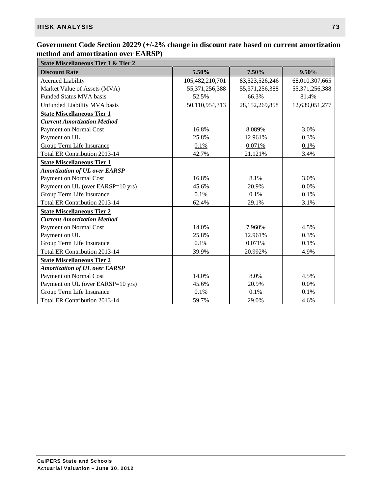## **Government Code Section 20229 (+/-2% change in discount rate based on current amortization method and amortization over EARSP)**

| <b>State Miscellaneous Tier 1 &amp; Tier 2</b> |                 |                   |                   |  |  |  |
|------------------------------------------------|-----------------|-------------------|-------------------|--|--|--|
| <b>Discount Rate</b>                           | 5.50%           | 7.50%             | 9.50%             |  |  |  |
| <b>Accrued Liability</b>                       | 105,482,210,701 | 83,523,526,246    | 68,010,307,665    |  |  |  |
| Market Value of Assets (MVA)                   | 55,371,256,388  | 55, 371, 256, 388 | 55, 371, 256, 388 |  |  |  |
| Funded Status MVA basis                        | 52.5%           | 66.3%             | 81.4%             |  |  |  |
| Unfunded Liability MVA basis                   | 50,110,954,313  | 28,152,269,858    | 12,639,051,277    |  |  |  |
| <b>State Miscellaneous Tier 1</b>              |                 |                   |                   |  |  |  |
| <b>Current Amortization Method</b>             |                 |                   |                   |  |  |  |
| Payment on Normal Cost                         | 16.8%           | 8.089%            | 3.0%              |  |  |  |
| Payment on UL                                  | 25.8%           | 12.961%           | 0.3%              |  |  |  |
| <b>Group Term Life Insurance</b>               | 0.1%            | 0.071%            | 0.1%              |  |  |  |
| Total ER Contribution 2013-14                  | 42.7%           | 21.121%           | 3.4%              |  |  |  |
| <b>State Miscellaneous Tier 1</b>              |                 |                   |                   |  |  |  |
| <b>Amortization of UL over EARSP</b>           |                 |                   |                   |  |  |  |
| Payment on Normal Cost                         | 16.8%           | 8.1%              | 3.0%              |  |  |  |
| Payment on UL (over EARSP=10 yrs)              | 45.6%           | 20.9%             | 0.0%              |  |  |  |
| <b>Group Term Life Insurance</b>               | 0.1%            | 0.1%              | 0.1%              |  |  |  |
| Total ER Contribution 2013-14                  | 62.4%           | 29.1%             | 3.1%              |  |  |  |
| <b>State Miscellaneous Tier 2</b>              |                 |                   |                   |  |  |  |
| <b>Current Amortization Method</b>             |                 |                   |                   |  |  |  |
| Payment on Normal Cost                         | 14.0%           | 7.960%            | 4.5%              |  |  |  |
| Payment on UL                                  | 25.8%           | 12.961%           | 0.3%              |  |  |  |
| Group Term Life Insurance                      | 0.1%            | 0.071%            | 0.1%              |  |  |  |
| Total ER Contribution 2013-14                  | 39.9%           | 20.992%           | 4.9%              |  |  |  |
| <b>State Miscellaneous Tier 2</b>              |                 |                   |                   |  |  |  |
| <b>Amortization of UL over EARSP</b>           |                 |                   |                   |  |  |  |
| Payment on Normal Cost                         | 14.0%           | 8.0%              | 4.5%              |  |  |  |
| Payment on UL (over EARSP=10 yrs)              | 45.6%           | 20.9%             | 0.0%              |  |  |  |
| <b>Group Term Life Insurance</b>               | 0.1%            | 0.1%              | 0.1%              |  |  |  |
| Total ER Contribution 2013-14                  | 59.7%           | 29.0%             | 4.6%              |  |  |  |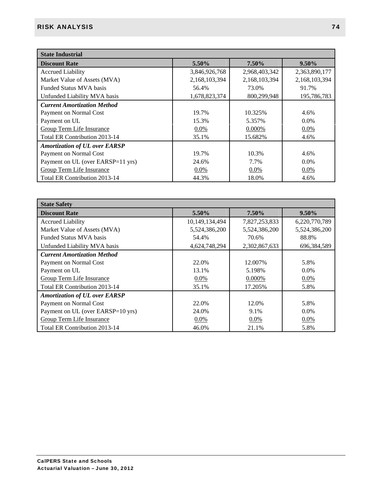| <b>State Industrial</b>              |               |               |               |  |  |  |
|--------------------------------------|---------------|---------------|---------------|--|--|--|
| <b>Discount Rate</b>                 | 5.50%         | 7.50%         | $9.50\%$      |  |  |  |
| <b>Accrued Liability</b>             | 3,846,926,768 | 2,968,403,342 | 2,363,890,177 |  |  |  |
| Market Value of Assets (MVA)         | 2,168,103,394 | 2,168,103,394 | 2,168,103,394 |  |  |  |
| <b>Funded Status MVA basis</b>       | 56.4%         | 73.0%         | 91.7%         |  |  |  |
| Unfunded Liability MVA basis         | 1,678,823,374 | 800,299,948   | 195,786,783   |  |  |  |
| <b>Current Amortization Method</b>   |               |               |               |  |  |  |
| Payment on Normal Cost               | 19.7%         | 10.325%       | 4.6%          |  |  |  |
| Payment on UL                        | 15.3%         | 5.357%        | $0.0\%$       |  |  |  |
| <b>Group Term Life Insurance</b>     | 0.0%          | 0.000%        | 0.0%          |  |  |  |
| Total ER Contribution 2013-14        | 35.1%         | 15.682%       | 4.6%          |  |  |  |
| <b>Amortization of UL over EARSP</b> |               |               |               |  |  |  |
| Payment on Normal Cost               | 19.7%         | 10.3%         | 4.6%          |  |  |  |
| Payment on UL (over EARSP=11 yrs)    | 24.6%         | 7.7%          | $0.0\%$       |  |  |  |
| <b>Group Term Life Insurance</b>     | $0.0\%$       | $0.0\%$       | 0.0%          |  |  |  |
| Total ER Contribution 2013-14        | 44.3%         | 18.0%         | 4.6%          |  |  |  |

| <b>State Safety</b>                  |                |               |               |  |  |
|--------------------------------------|----------------|---------------|---------------|--|--|
| <b>Discount Rate</b>                 | 5.50%          | 7.50%         | $9.50\%$      |  |  |
| <b>Accrued Liability</b>             | 10,149,134,494 | 7,827,253,833 | 6,220,770,789 |  |  |
| Market Value of Assets (MVA)         | 5,524,386,200  | 5,524,386,200 | 5,524,386,200 |  |  |
| <b>Funded Status MVA basis</b>       | 54.4%          | 70.6%         | 88.8%         |  |  |
| Unfunded Liability MVA basis         | 4,624,748,294  | 2,302,867,633 | 696, 384, 589 |  |  |
| <b>Current Amortization Method</b>   |                |               |               |  |  |
| Payment on Normal Cost               | 22.0%          | 12.007%       | 5.8%          |  |  |
| Payment on UL                        | 13.1%          | 5.198%        | $0.0\%$       |  |  |
| Group Term Life Insurance            | $0.0\%$        | 0.000%        | $0.0\%$       |  |  |
| Total ER Contribution 2013-14        | 35.1%          | 17.205%       | 5.8%          |  |  |
| <b>Amortization of UL over EARSP</b> |                |               |               |  |  |
| Payment on Normal Cost               | 22.0%          | 12.0%         | 5.8%          |  |  |
| Payment on UL (over EARSP=10 yrs)    | 24.0%          | 9.1%          | $0.0\%$       |  |  |
| <b>Group Term Life Insurance</b>     | $0.0\%$        | $0.0\%$       | $0.0\%$       |  |  |
| Total ER Contribution 2013-14        | 46.0%          | 21.1%         | 5.8%          |  |  |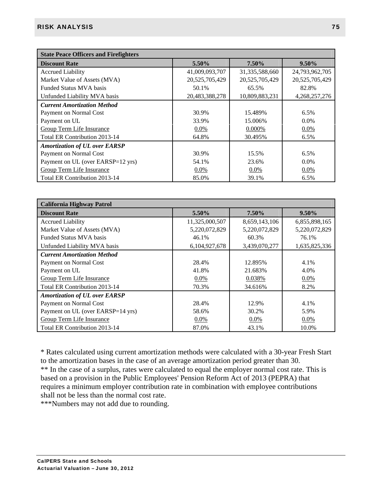| <b>State Peace Officers and Firefighters</b> |                |                   |                |  |  |  |
|----------------------------------------------|----------------|-------------------|----------------|--|--|--|
| <b>Discount Rate</b>                         | 5.50%          | 7.50%             | $9.50\%$       |  |  |  |
| <b>Accrued Liability</b>                     | 41,009,093,707 | 31, 335, 588, 660 | 24,793,962,705 |  |  |  |
| Market Value of Assets (MVA)                 | 20,525,705,429 | 20,525,705,429    | 20,525,705,429 |  |  |  |
| <b>Funded Status MVA basis</b>               | 50.1%          | 65.5%             | 82.8%          |  |  |  |
| Unfunded Liability MVA basis                 | 20,483,388,278 | 10,809,883,231    | 4,268,257,276  |  |  |  |
| <b>Current Amortization Method</b>           |                |                   |                |  |  |  |
| Payment on Normal Cost                       | 30.9%          | 15.489%           | 6.5%           |  |  |  |
| Payment on UL                                | 33.9%          | 15.006%           | $0.0\%$        |  |  |  |
| Group Term Life Insurance                    | $0.0\%$        | 0.000%            | 0.0%           |  |  |  |
| Total ER Contribution 2013-14                | 64.8%          | 30.495%           | 6.5%           |  |  |  |
| <b>Amortization of UL over EARSP</b>         |                |                   |                |  |  |  |
| Payment on Normal Cost                       | 30.9%          | 15.5%             | 6.5%           |  |  |  |
| Payment on UL (over EARSP=12 yrs)            | 54.1%          | 23.6%             | $0.0\%$        |  |  |  |
| <b>Group Term Life Insurance</b>             | $0.0\%$        | $0.0\%$           | $0.0\%$        |  |  |  |
| Total ER Contribution 2013-14                | 85.0%          | 39.1%             | 6.5%           |  |  |  |

| <b>California Highway Patrol</b>     |                  |               |               |
|--------------------------------------|------------------|---------------|---------------|
| <b>Discount Rate</b>                 | 5.50%            | 7.50%         | $9.50\%$      |
| <b>Accrued Liability</b>             | 11,325,000,507   | 8,659,143,106 | 6,855,898,165 |
| Market Value of Assets (MVA)         | 5,220,072,829    | 5,220,072,829 | 5,220,072,829 |
| <b>Funded Status MVA basis</b>       | 46.1%            | 60.3%         | 76.1%         |
| Unfunded Liability MVA basis         | 6, 104, 927, 678 | 3,439,070,277 | 1,635,825,336 |
| <b>Current Amortization Method</b>   |                  |               |               |
| Payment on Normal Cost               | 28.4%            | 12.895%       | 4.1%          |
| Payment on UL                        | 41.8%            | 21.683%       | 4.0%          |
| Group Term Life Insurance            | $0.0\%$          | 0.038%        | $0.0\%$       |
| Total ER Contribution 2013-14        | 70.3%            | 34.616%       | 8.2%          |
| <b>Amortization of UL over EARSP</b> |                  |               |               |
| Payment on Normal Cost               | 28.4%            | 12.9%         | 4.1%          |
| Payment on UL (over EARSP=14 yrs)    | 58.6%            | 30.2%         | 5.9%          |
| <b>Group Term Life Insurance</b>     | $0.0\%$          | $0.0\%$       | $0.0\%$       |
| Total ER Contribution 2013-14        | 87.0%            | 43.1%         | 10.0%         |

\* Rates calculated using current amortization methods were calculated with a 30-year Fresh Start to the amortization bases in the case of an average amortization period greater than 30. \*\* In the case of a surplus, rates were calculated to equal the employer normal cost rate. This is based on a provision in the Public Employees' Pension Reform Act of 2013 (PEPRA) that requires a minimum employer contribution rate in combination with employee contributions shall not be less than the normal cost rate.

\*\*\*Numbers may not add due to rounding.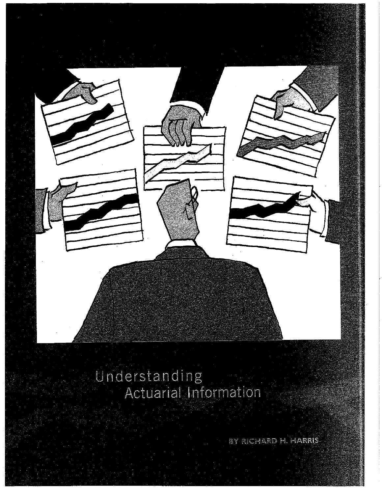

# Understanding<br>Actuarial Information

BY RICHARD H. HARRIS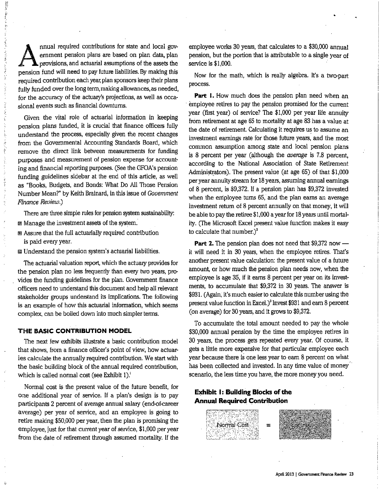nnual required contributions for state and local government pension plans are based on plan data, plan provisions, and actuarial assumptions of the assets the pension fund will need to pay future liabilities. By making this required contribution each year, plan sponsors keep their plans fully funded over the long term, making allowances, as needed, for the accuracy of the actuary's projections, as well as occasional events such as financial downturns.

Given the vital role of actuarial information in keeping pension plans funded, it is crucial that finance officers fully understand the process, especially given the recent changes from the Governmental Accounting Standards Board, which remove the direct link between measurements for funding purposes and measurement of pension expense for accounting and financial reporting purposes. (See the GFOA's pension funding guidelines sidebar at the end of this article, as well as "Books, Budgets, and Bonds: What Do All Those Pension Number Mean?" by Keith Brainard, in this issue of Government Finance Review.)

There are three simple rules for pension system sustainability: m Manage the investment assets of the system.

- Assure that the full actuarially required contribution is paid every year.
- Understand the pension system's actuarial liabilities.

The actuarial valuation report, which the actuary provides for the pension plan no less frequently than every two years, provides the funding guidelines for the plan. Government finance officers need to understand this document and help all relevant stakeholder groups understand its implications. The following is an example of how this actuarial information, which seems complex, can be boiled down into much simpler terms.

#### THE BASIC CONTRIBUTION MODEL

The next few exhibits illustrate a basic contribution model that shows, from a finance officer's point of view, how actuaries calculate the annually required contribution. We start with the basic building block of the annual required contribution, which is called normal cost (see Exhibit 1).

Normal cost is the present value of the future benefit, for one additional year of service. If a plan's design is to pay participants 2 percent of average annual salary (end-of-career average) per year of service, and an employee is going to retire making \$50,000 per year, then the plan is promising the employee, just for that current year of service, \$1,000 per year from the date of retirement through assumed mortality. If the employee works 30 years, that calculates to a \$30,000 annual pension, but the portion that is attributable to a single year of service is \$1,000.

Now for the math, which is really algebra. It's a two-part process.

Part 1. How much does the pension plan need when an employee retires to pay the pension promised for the current year (first year) of service? The \$1,000 per year life annuity from retirement at age 65 to mortality at age 83 has a value at the date of retirement. Calculating it requires us to assume an investment earnings rate for those future years, and the most common assumption among state and local pension plans is 8 percent per year (although the *average* is 7.8 percent, according to the National Association of State Retirement Administrators). The present value (at age 65) of that \$1,000 per year annuity stream for 18 years, assuming annual earnings of 8 percent, is \$9,372. If a pension plan has \$9,372 invested when the employee turns 65, and the plan earns an average investment return of 8 percent annually on that money, it will be able to pay the retiree \$1,000 a year for 18 years until mortality. (The Microsoft Excel present value function makes it easy to calculate that number.) $^2$ 

**Part 2.** The pension plan does not need that \$9,372 now it will need it in 30 years, when the employee retires. That's another present value calculation: the present value of a future amount, or how much the pension plan needs now, when the employee is age 35, if it earns 8 percent per year on its investments, to accumulate that \$9,372 in 30 years. The answer is \$931. (Again, it's much easier to calculate this number using the present value function in Excel.)<sup>3</sup> Invest \$931 and earn 8 percent (on average) for 30 years, and it grows to \$9,372.

To accumulate the total amount needed to pay the whole \$30,000 annual pension by the time the employee retires in 30 years, the process gets repeated every year. Of course, it gets a little more expensive for that particular employee each year because there is one less year to earn 8 percent on what has been collected and invested. In any time value of money scenario, the less time you have, the more money you need.

## **Exhibit 1: Building Blocks of the Annual Required Contribution**

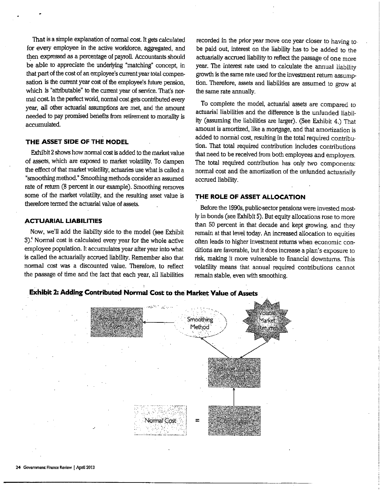That is a simple explanation of normal cost. It gets calculated for every employee in the active workforce, aggregated, and then expressed as a percentage of payroll. Accountants should be able to appreciate the underlying "matching" concept, in that part of the cost of an employee's current year total compensation is the current year cost of the employee's future pension, which is "attributable" to the current year of service. That's normal cost. In the perfect world, normal cost gets contributed every year, all other actuarial assumptions are met, and the amount needed to pay promised benefits from retirement to mortality is accumulated.

### THE ASSET SIDE OF THE MODEL

Exhibit 2 shows how normal cost is added to the market value of assets, which are exposed to market volatility. To dampen the effect of that market volatility, actuaries use what is called a "smoothing method." Smoothing methods consider an assumed rate of return (8 percent in our example). Smoothing removes some of the market volatility, and the resulting asset value is therefore termed the actuarial value of assets.

### **ACTUARIAL LIABILITIES**

Now, we'll add the liability side to the model (see Exhibit 3).<sup>4</sup> Normal cost is calculated every year for the whole active employee population. It accumulates year after year into what is called the actuarially accrued liability. Remember also that normal cost was a discounted value. Therefore, to reflect the passage of time and the fact that each year, all liabilities

recorded in the prior year move one year closer to having tobe paid out, interest on the liability has to be added to the actuarially accrued liability to reflect the passage of one more year. The interest rate used to calculate the annual liability growth is the same rate used for the investment return assumption. Therefore, assets and liabilities are assumed to grow at the same rate annually.

To complete the model, actuarial assets are compared to actuarial liabilities and the difference is the unfunded liability (assuming the liabilities are larger). (See Exhibit 4.) That amount is amortized, like a mortgage, and that amortization is added to normal cost, resulting in the total required contribution. That total required contribution includes contributions that need to be received from both employees and employers. The total required contribution has only two components: normal cost and the amortization of the unfunded actuarially accrued liability.

## THE ROLE OF ASSET ALLOCATION

Before the 1990s, public-sector pensions were invested mostly in bonds (see Exhibit 5). But equity allocations rose to more than 50 percent in that decade and kept growing, and they remain at that level today. An increased allocation to equities often leads to higher investment returns when economic conditions are favorable, but it does increase a plan's exposure to risk, making it more vulnerable to financial downturns. This volatility means that annual required contributions cannot remain stable, even with smoothing.



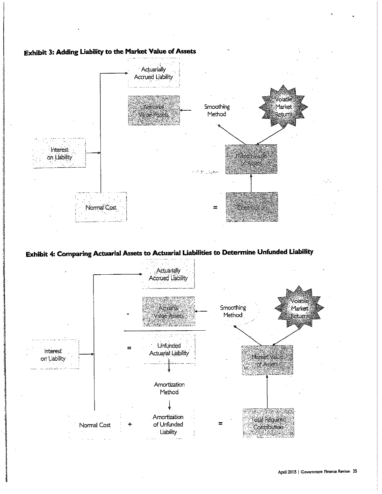



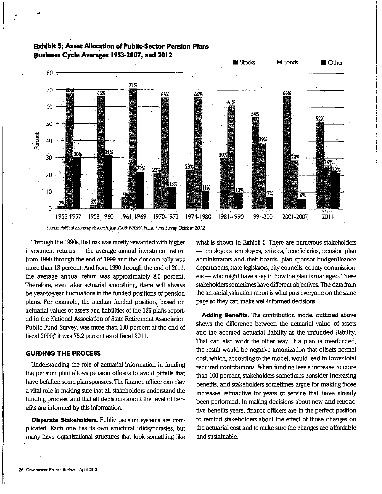

## **Exhibit 5: Asset Allocation of Public-Sector Pension Plans** Business Cycle Averages 1953-2007, and 2012

Source: Political Economy Research, July 2008; NASRA Public Fund Survey, October 2012

Through the 1990s, that risk was mostly rewarded with higher investment returns - the average annual investment return from 1990 through the end of 1999 and the dot-com raily was more than 13 percent. And from 1990 through the end of 2011, the average annual return was approximately 8.5 percent. Therefore, even after actuarial smoothing, there will always be year-to-year fluctuations in the funded positions of pension plans. For example, the median funded position, based on actuarial values of assets and liabilities of the 126 plans reported in the National Association of State Retirement Association Public Fund Survey, was more than 100 percent at the end of fiscal 2000;<sup>5</sup> it was 75.2 percent as of fiscal 2011.

#### **GUIDING THE PROCESS**

Understanding the role of actuarial information in funding the pension plan allows pension officers to avoid pitfalls that have befallen some plan sponsors. The finance officer can play a vital role in making sure that all stakeholders understand the funding process, and that all decisions about the level of benefits are informed by this information.

**Disparate Stakeholders.** Public pension systems are complicated. Each one has its own structural idiosyncrasies, but many have organizational structures that look something like what is shown in Exhibit 6. There are numerous stakeholders - employees, employers, retirees, beneficiaries, pension plan administrators and their boards, plan sponsor budget/finance departments, state legislators, city councils, county commissioners — who might have a say in how the plan is managed. These stakeholders sometimes have different objectives. The data from the actuarial valuation report is what puts everyone on the same page so they can make well-informed decisions.

Adding Benefits. The contribution model outlined above shows the difference between the actuarial value of assets and the accrued actuarial liability as the unfunded liability. That can also work the other way. If a plan is overfunded, the result would be negative amortization that offsets normal cost, which, according to the model, would lead to lower total required contributions. When funding levels increase to more than 100 percent, stakeholders sometimes consider increasing benefits, and stakeholders sometimes argue for making those increases retroactive for years of service that have already been performed. In making decisions about new and retroactive benefits years, finance officers are in the perfect position to remind stakeholders about the effect of those changes on the actuarial cost and to make sure the changes are affordable and sustainable.